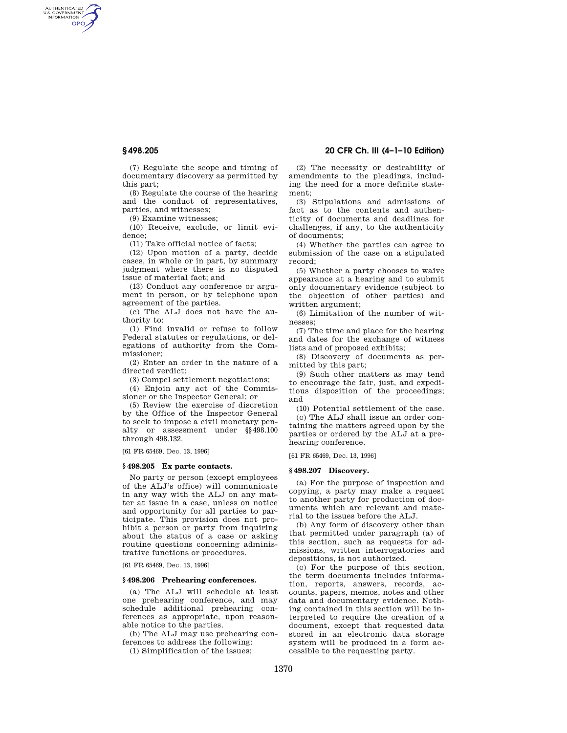AUTHENTICATED<br>U.S. GOVERNMENT<br>INFORMATION GPO

> (7) Regulate the scope and timing of documentary discovery as permitted by this part;

(8) Regulate the course of the hearing and the conduct of representatives, parties, and witnesses;

(9) Examine witnesses;

(10) Receive, exclude, or limit evidence;

(11) Take official notice of facts;

(12) Upon motion of a party, decide cases, in whole or in part, by summary judgment where there is no disputed issue of material fact; and

(13) Conduct any conference or argument in person, or by telephone upon agreement of the parties.

(c) The ALJ does not have the authority to:

(1) Find invalid or refuse to follow Federal statutes or regulations, or delegations of authority from the Commissioner;

(2) Enter an order in the nature of a directed verdict;

(3) Compel settlement negotiations;

(4) Enjoin any act of the Commissioner or the Inspector General; or

(5) Review the exercise of discretion by the Office of the Inspector General to seek to impose a civil monetary penalty or assessment under §§498.100 through 498.132.

[61 FR 65469, Dec. 13, 1996]

#### **§ 498.205 Ex parte contacts.**

No party or person (except employees of the ALJ's office) will communicate in any way with the ALJ on any matter at issue in a case, unless on notice and opportunity for all parties to participate. This provision does not prohibit a person or party from inquiring about the status of a case or asking routine questions concerning administrative functions or procedures.

[61 FR 65469, Dec. 13, 1996]

### **§ 498.206 Prehearing conferences.**

(a) The ALJ will schedule at least one prehearing conference, and may schedule additional prehearing conferences as appropriate, upon reasonable notice to the parties.

(b) The ALJ may use prehearing conferences to address the following:

(1) Simplification of the issues;

# **§ 498.205 20 CFR Ch. III (4–1–10 Edition)**

(2) The necessity or desirability of amendments to the pleadings, including the need for a more definite statement;

(3) Stipulations and admissions of fact as to the contents and authenticity of documents and deadlines for challenges, if any, to the authenticity of documents;

(4) Whether the parties can agree to submission of the case on a stipulated record;

(5) Whether a party chooses to waive appearance at a hearing and to submit only documentary evidence (subject to the objection of other parties) and written argument;

(6) Limitation of the number of witnesses;

(7) The time and place for the hearing and dates for the exchange of witness lists and of proposed exhibits;

(8) Discovery of documents as permitted by this part;

(9) Such other matters as may tend to encourage the fair, just, and expeditious disposition of the proceedings; and

(10) Potential settlement of the case.

(c) The ALJ shall issue an order containing the matters agreed upon by the parties or ordered by the ALJ at a prehearing conference.

[61 FR 65469, Dec. 13, 1996]

#### **§ 498.207 Discovery.**

(a) For the purpose of inspection and copying, a party may make a request to another party for production of documents which are relevant and material to the issues before the ALJ.

(b) Any form of discovery other than that permitted under paragraph (a) of this section, such as requests for admissions, written interrogatories and depositions, is not authorized.

(c) For the purpose of this section, the term documents includes information, reports, answers, records, accounts, papers, memos, notes and other data and documentary evidence. Nothing contained in this section will be interpreted to require the creation of a document, except that requested data stored in an electronic data storage system will be produced in a form accessible to the requesting party.